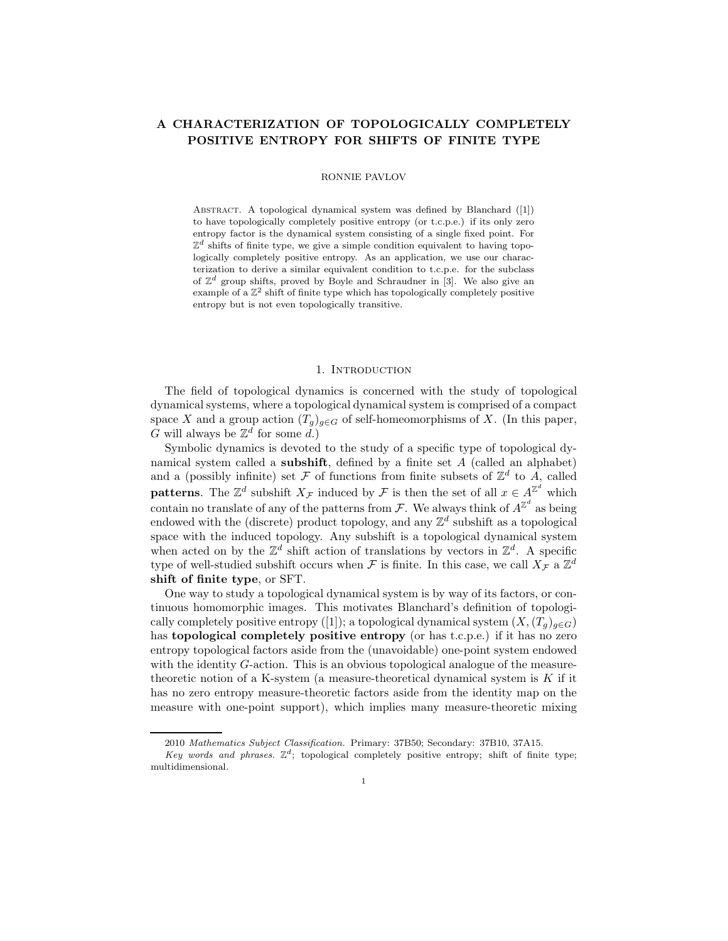# A CHARACTERIZATION OF TOPOLOGICALLY COMPLETELY POSITIVE ENTROPY FOR SHIFTS OF FINITE TYPE

# RONNIE PAVLOV

ABSTRACT. A topological dynamical system was defined by Blanchard ([1]) to have topologically completely positive entropy (or t.c.p.e.) if its only zero entropy factor is the dynamical system consisting of a single fixed point. For  $\mathbb{Z}^d$  shifts of finite type, we give a simple condition equivalent to having topologically completely positive entropy. As an application, we use our characterization to derive a similar equivalent condition to t.c.p.e. for the subclass of  $\mathbb{Z}^d$  group shifts, proved by Boyle and Schraudner in [3]. We also give an example of a  $\mathbb{Z}^2$  shift of finite type which has topologically completely positive entropy but is not even topologically transitive.

### 1. INTRODUCTION

The field of topological dynamics is concerned with the study of topological dynamical systems, where a topological dynamical system is comprised of a compact space X and a group action  $(T_g)_{g\in G}$  of self-homeomorphisms of X. (In this paper, G will always be  $\mathbb{Z}^d$  for some d.)

Symbolic dynamics is devoted to the study of a specific type of topological dynamical system called a subshift, defined by a finite set A (called an alphabet) and a (possibly infinite) set  $\mathcal F$  of functions from finite subsets of  $\mathbb Z^d$  to  $A$ , called **patterns**. The  $\mathbb{Z}^d$  subshift  $X_{\mathcal{F}}$  induced by  $\mathcal{F}$  is then the set of all  $x \in A^{\mathbb{Z}^d}$  which contain no translate of any of the patterns from F. We always think of  $A^{\mathbb{Z}^d}$  as being endowed with the (discrete) product topology, and any  $\mathbb{Z}^d$  subshift as a topological space with the induced topology. Any subshift is a topological dynamical system when acted on by the  $\mathbb{Z}^d$  shift action of translations by vectors in  $\mathbb{Z}^d$ . A specific type of well-studied subshift occurs when  $\mathcal F$  is finite. In this case, we call  $X_{\mathcal F}$  a  $\mathbb Z^d$ shift of finite type, or SFT.

One way to study a topological dynamical system is by way of its factors, or continuous homomorphic images. This motivates Blanchard's definition of topologically completely positive entropy ([1]); a topological dynamical system  $(X,(T_g)_{g\in G})$ has **topological completely positive entropy** (or has t.c.p.e.) if it has no zero entropy topological factors aside from the (unavoidable) one-point system endowed with the identity G-action. This is an obvious topological analogue of the measuretheoretic notion of a K-system (a measure-theoretical dynamical system is  $K$  if it has no zero entropy measure-theoretic factors aside from the identity map on the measure with one-point support), which implies many measure-theoretic mixing

<sup>2010</sup> Mathematics Subject Classification. Primary: 37B50; Secondary: 37B10, 37A15.

Key words and phrases.  $\mathbb{Z}^d$ ; topological completely positive entropy; shift of finite type; multidimensional.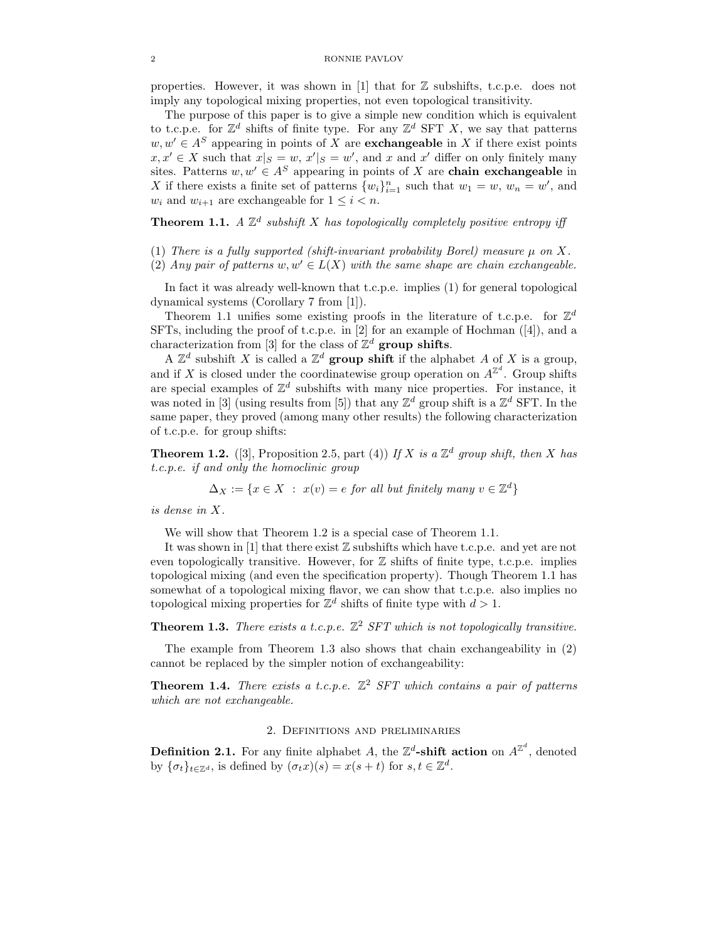properties. However, it was shown in [1] that for  $\mathbb Z$  subshifts, t.c.p.e. does not imply any topological mixing properties, not even topological transitivity.

The purpose of this paper is to give a simple new condition which is equivalent to t.c.p.e. for  $\mathbb{Z}^d$  shifts of finite type. For any  $\mathbb{Z}^d$  SFT X, we say that patterns  $w, w' \in A^S$  appearing in points of X are **exchangeable** in X if there exist points  $x, x' \in X$  such that  $x|_S = w$ ,  $x'|_S = w'$ , and x and x' differ on only finitely many sites. Patterns  $w, w' \in A^S$  appearing in points of X are chain exchangeable in X if there exists a finite set of patterns  $\{w_i\}_{i=1}^n$  such that  $w_1 = w$ ,  $w_n = w'$ , and  $w_i$  and  $w_{i+1}$  are exchangeable for  $1 \leq i < n$ .

**Theorem 1.1.** A  $\mathbb{Z}^d$  subshift X has topologically completely positive entropy iff

- (1) There is a fully supported (shift-invariant probability Borel) measure  $\mu$  on X.
- (2) Any pair of patterns w,  $w' \in L(X)$  with the same shape are chain exchangeable.

In fact it was already well-known that t.c.p.e. implies (1) for general topological dynamical systems (Corollary 7 from [1]).

Theorem 1.1 unifies some existing proofs in the literature of t.c.p.e. for  $\mathbb{Z}^d$ SFTs, including the proof of t.c.p.e. in [2] for an example of Hochman ([4]), and a characterization from [3] for the class of  $\mathbb{Z}^d$  group shifts.

A  $\mathbb{Z}^d$  subshift X is called a  $\mathbb{Z}^d$  group shift if the alphabet A of X is a group, and if X is closed under the coordinatewise group operation on  $A^{\mathbb{Z}^d}$ . Group shifts are special examples of  $\mathbb{Z}^d$  subshifts with many nice properties. For instance, it was noted in [3] (using results from [5]) that any  $\mathbb{Z}^d$  group shift is a  $\mathbb{Z}^d$  SFT. In the same paper, they proved (among many other results) the following characterization of t.c.p.e. for group shifts:

**Theorem 1.2.** ([3], Proposition 2.5, part (4)) If X is a  $\mathbb{Z}^d$  group shift, then X has t.c.p.e. if and only the homoclinic group

$$
\Delta_X := \{ x \in X \; : \; x(v) = e \; \text{for all but finitely many } v \in \mathbb{Z}^d \}
$$

is dense in X.

We will show that Theorem 1.2 is a special case of Theorem 1.1.

It was shown in [1] that there exist  $\mathbb Z$  subshifts which have t.c.p.e. and yet are not even topologically transitive. However, for  $\mathbb Z$  shifts of finite type, t.c.p.e. implies topological mixing (and even the specification property). Though Theorem 1.1 has somewhat of a topological mixing flavor, we can show that t.c.p.e. also implies no topological mixing properties for  $\mathbb{Z}^d$  shifts of finite type with  $d > 1$ .

**Theorem 1.3.** There exists a t.c.p.e.  $\mathbb{Z}^2$  SFT which is not topologically transitive.

The example from Theorem 1.3 also shows that chain exchangeability in (2) cannot be replaced by the simpler notion of exchangeability:

**Theorem 1.4.** There exists a t.c.p.e.  $\mathbb{Z}^2$  SFT which contains a pair of patterns which are not exchangeable.

# 2. Definitions and preliminaries

**Definition 2.1.** For any finite alphabet A, the  $\mathbb{Z}^d$ -shift action on  $A^{\mathbb{Z}^d}$ , denoted by  $\{\sigma_t\}_{t\in\mathbb{Z}^d}$ , is defined by  $(\sigma_t x)(s) = x(s+t)$  for  $s, t \in \mathbb{Z}^d$ .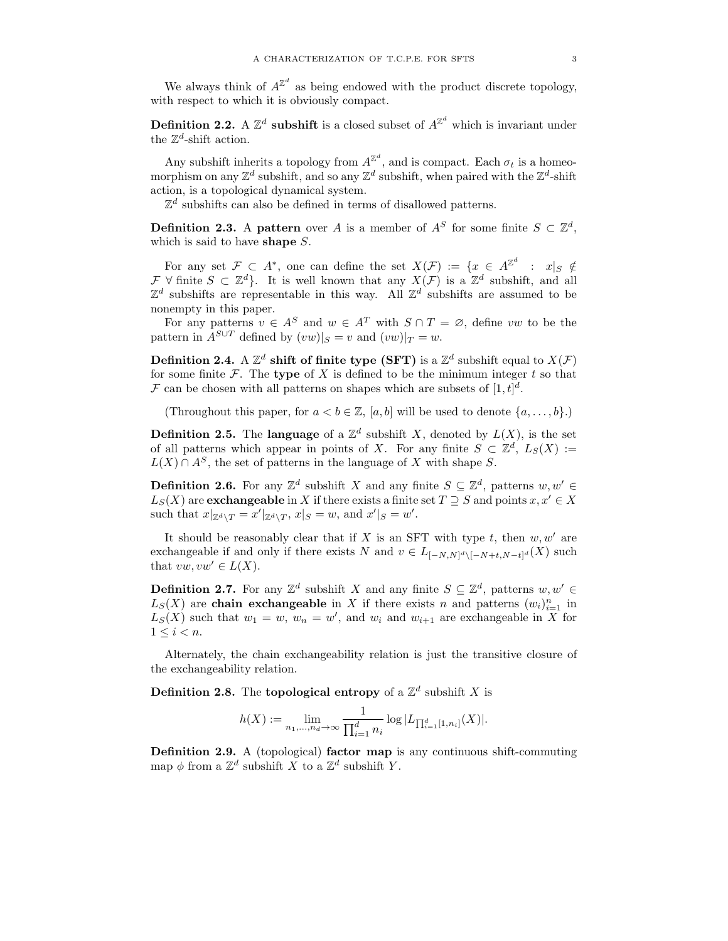We always think of  $A^{\mathbb{Z}^d}$  as being endowed with the product discrete topology, with respect to which it is obviously compact.

**Definition 2.2.** A  $\mathbb{Z}^d$  subshift is a closed subset of  $A^{\mathbb{Z}^d}$  which is invariant under the  $\mathbb{Z}^d$ -shift action.

Any subshift inherits a topology from  $A^{\mathbb{Z}^d}$ , and is compact. Each  $\sigma_t$  is a homeomorphism on any  $\mathbb{Z}^d$  subshift, and so any  $\mathbb{Z}^d$  subshift, when paired with the  $\mathbb{Z}^d$ -shift action, is a topological dynamical system.

 $\mathbb{Z}^d$  subshifts can also be defined in terms of disallowed patterns.

**Definition 2.3.** A pattern over A is a member of  $A^S$  for some finite  $S \subset \mathbb{Z}^d$ , which is said to have shape S.

For any set  $\mathcal{F} \subset A^*$ , one can define the set  $X(\mathcal{F}) := \{x \in A^{\mathbb{Z}^d} : x|_S \notin \mathcal{F} \}$  $\mathcal{F}$   $\forall$  finite  $S \subset \mathbb{Z}^d$ . It is well known that any  $X(\mathcal{F})$  is a  $\mathbb{Z}^d$  subshift, and all  $\mathbb{Z}^d$  subshifts are representable in this way. All  $\mathbb{Z}^d$  subshifts are assumed to be nonempty in this paper.

For any patterns  $v \in A^S$  and  $w \in A^T$  with  $S \cap T = \emptyset$ , define vw to be the pattern in  $A^{S\cup T}$  defined by  $(vw)|_S = v$  and  $(vw)|_T = w$ .

Definition 2.4. A  $\mathbb{Z}^d$  shift of finite type (SFT) is a  $\mathbb{Z}^d$  subshift equal to  $X(\mathcal{F})$ for some finite  $\mathcal F$ . The type of X is defined to be the minimum integer t so that F can be chosen with all patterns on shapes which are subsets of  $[1, t]^d$ .

(Throughout this paper, for  $a < b \in \mathbb{Z}$ ,  $[a, b]$  will be used to denote  $\{a, \ldots, b\}$ .)

**Definition 2.5.** The **language** of a  $\mathbb{Z}^d$  subshift X, denoted by  $L(X)$ , is the set of all patterns which appear in points of X. For any finite  $S \subset \mathbb{Z}^d$ ,  $L_S(X) :=$  $L(X) \cap A^S$ , the set of patterns in the language of X with shape S.

**Definition 2.6.** For any  $\mathbb{Z}^d$  subshift X and any finite  $S \subseteq \mathbb{Z}^d$ , patterns  $w, w' \in$  $L_S(X)$  are **exchangeable** in X if there exists a finite set  $T \supseteq S$  and points  $x, x' \in X$ such that  $x|_{\mathbb{Z}^d \setminus T} = x'|_{\mathbb{Z}^d \setminus T}, x|_S = w$ , and  $x'|_S = w'$ .

It should be reasonably clear that if  $X$  is an SFT with type  $t$ , then  $w, w'$  are exchangeable if and only if there exists N and  $v \in L_{[-N,N]^d \setminus [-N+t,N-t]^d}(X)$  such that  $vw, vw' \in L(X)$ .

**Definition 2.7.** For any  $\mathbb{Z}^d$  subshift X and any finite  $S \subseteq \mathbb{Z}^d$ , patterns  $w, w' \in$  $L_S(X)$  are **chain exchangeable** in X if there exists n and patterns  $(w_i)_{i=1}^n$  in  $L_S(X)$  such that  $w_1 = w$ ,  $w_n = w'$ , and  $w_i$  and  $w_{i+1}$  are exchangeable in X for  $1 \leq i < n$ .

Alternately, the chain exchangeability relation is just the transitive closure of the exchangeability relation.

**Definition 2.8.** The **topological entropy** of a  $\mathbb{Z}^d$  subshift X is

$$
h(X) := \lim_{n_1, \dots, n_d \to \infty} \frac{1}{\prod_{i=1}^d n_i} \log |L_{\prod_{i=1}^d [1, n_i]}(X)|.
$$

Definition 2.9. A (topological) factor map is any continuous shift-commuting map  $\phi$  from a  $\mathbb{Z}^d$  subshift X to a  $\mathbb{Z}^d$  subshift Y.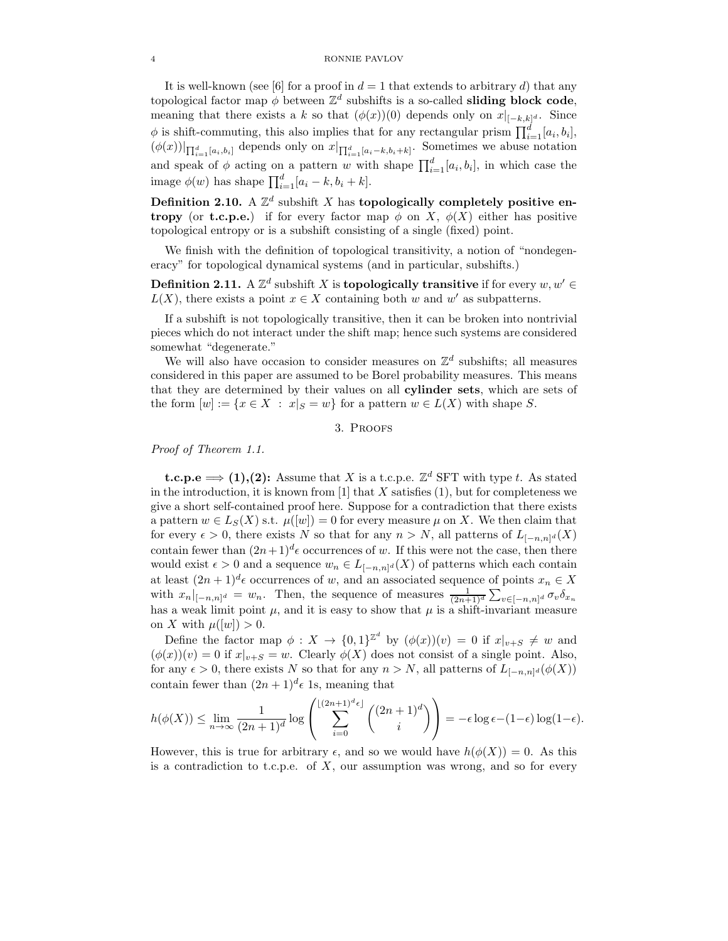It is well-known (see [6] for a proof in  $d = 1$  that extends to arbitrary d) that any topological factor map  $\phi$  between  $\mathbb{Z}^d$  subshifts is a so-called **sliding block code**, meaning that there exists a k so that  $(\phi(x))(0)$  depends only on  $x|_{[-k,k]^d}$ . Since  $\phi$  is shift-commuting, this also implies that for any rectangular prism  $\prod_{i=1}^{d} [a_i, b_i]$ ,  $(\phi(x))|_{\prod_{i=1}^d [a_i,b_i]}$  depends only on  $x|_{\prod_{i=1}^d [a_i-k,b_i+k]}$ . Sometimes we abuse notation and speak of  $\phi$  acting on a pattern w with shape  $\prod_{i=1}^{d} [a_i, b_i]$ , in which case the image  $\phi(w)$  has shape  $\prod_{i=1}^{d} [a_i - k, b_i + k]$ .

Definition 2.10. A  $\mathbb{Z}^d$  subshift X has topologically completely positive en**tropy** (or **t.c.p.e.**) if for every factor map  $\phi$  on X,  $\phi(X)$  either has positive topological entropy or is a subshift consisting of a single (fixed) point.

We finish with the definition of topological transitivity, a notion of "nondegeneracy" for topological dynamical systems (and in particular, subshifts.)

**Definition 2.11.** A  $\mathbb{Z}^d$  subshift X is **topologically transitive** if for every  $w, w' \in \mathbb{Z}$  $L(X)$ , there exists a point  $x \in X$  containing both w and w' as subpatterns.

If a subshift is not topologically transitive, then it can be broken into nontrivial pieces which do not interact under the shift map; hence such systems are considered somewhat "degenerate."

We will also have occasion to consider measures on  $\mathbb{Z}^d$  subshifts; all measures considered in this paper are assumed to be Borel probability measures. This means that they are determined by their values on all cylinder sets, which are sets of the form  $[w] := \{x \in X : x|_S = w\}$  for a pattern  $w \in L(X)$  with shape S.

# 3. Proofs

Proof of Theorem 1.1.

**t.c.p.e**  $\implies$  (1),(2): Assume that X is a t.c.p.e.  $\mathbb{Z}^d$  SFT with type t. As stated in the introduction, it is known from [1] that  $X$  satisfies (1), but for completeness we give a short self-contained proof here. Suppose for a contradiction that there exists a pattern  $w \in L_S(X)$  s.t.  $\mu([w]) = 0$  for every measure  $\mu$  on X. We then claim that for every  $\epsilon > 0$ , there exists N so that for any  $n > N$ , all patterns of  $L_{[-n,n]^d}(X)$ contain fewer than  $(2n+1)^d \epsilon$  occurrences of w. If this were not the case, then there would exist  $\epsilon > 0$  and a sequence  $w_n \in L_{[-n,n]^d}(X)$  of patterns which each contain at least  $(2n+1)^d \epsilon$  occurrences of w, and an associated sequence of points  $x_n \in X$ with  $x_n|_{[-n,n]^d} = w_n$ . Then, the sequence of measures  $\frac{1}{(2n+1)^d} \sum_{v \in [-n,n]^d} \sigma_v \delta_{x_n}$ has a weak limit point  $\mu$ , and it is easy to show that  $\mu$  is a shift-invariant measure on X with  $\mu([w]) > 0$ .

Define the factor map  $\phi: X \to \{0,1\}^{\mathbb{Z}^d}$  by  $(\phi(x))(v) = 0$  if  $x|_{v+S} \neq w$  and  $(\phi(x))(v) = 0$  if  $x|_{v+S} = w$ . Clearly  $\phi(X)$  does not consist of a single point. Also, for any  $\epsilon > 0$ , there exists N so that for any  $n > N$ , all patterns of  $L_{[-n,n]^d}(\phi(X))$ contain fewer than  $(2n+1)^d \epsilon$  1s, meaning that

$$
h(\phi(X)) \le \lim_{n \to \infty} \frac{1}{(2n+1)^d} \log \left( \sum_{i=0}^{\lfloor (2n+1)^d \epsilon \rfloor} {2n+1}^d \right) = -\epsilon \log \epsilon - (1-\epsilon) \log(1-\epsilon).
$$

However, this is true for arbitrary  $\epsilon$ , and so we would have  $h(\phi(X)) = 0$ . As this is a contradiction to t.c.p.e. of  $X$ , our assumption was wrong, and so for every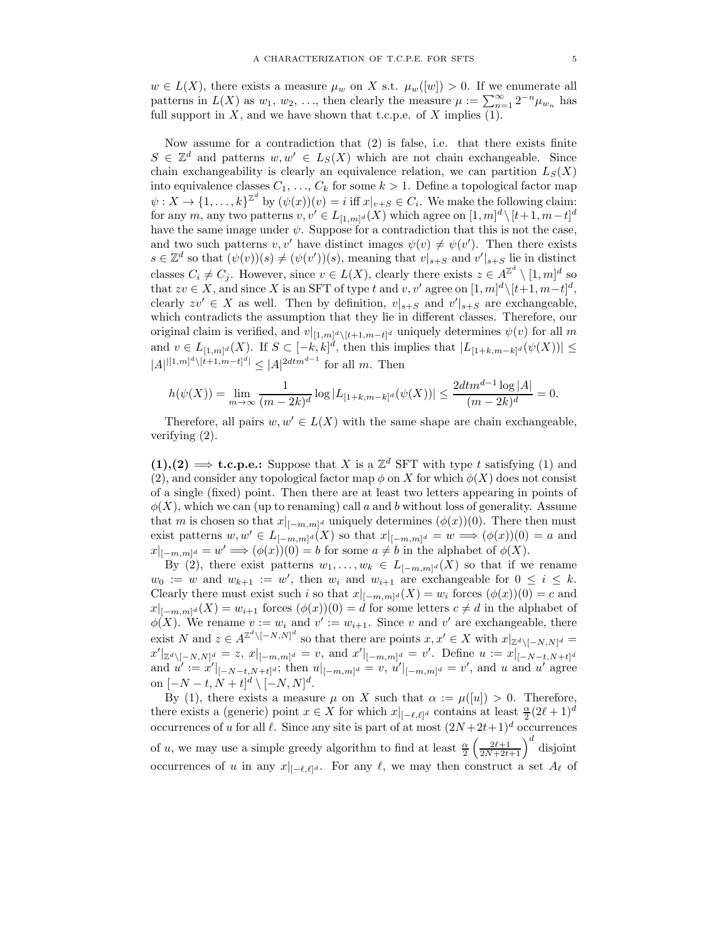$w \in L(X)$ , there exists a measure  $\mu_w$  on X s.t.  $\mu_w([w]) > 0$ . If we enumerate all patterns in  $L(X)$  as  $w_1, w_2, \ldots$ , then clearly the measure  $\mu := \sum_{n=1}^{\infty} 2^{-n} \mu_{w_n}$  has full support in  $X$ , and we have shown that t.c.p.e. of  $X$  implies (1).

Now assume for a contradiction that (2) is false, i.e. that there exists finite  $S \in \mathbb{Z}^d$  and patterns  $w, w' \in L_S(X)$  which are not chain exchangeable. Since chain exchangeability is clearly an equivalence relation, we can partition  $L_S(X)$ into equivalence classes  $C_1, \ldots, C_k$  for some  $k > 1$ . Define a topological factor map  $\psi: X \to \{1,\ldots,k\}^{\mathbb{Z}^d}$  by  $(\psi(x))(v) = i$  iff  $x|_{v+S} \in C_i$ . We make the following claim: for any m, any two patterns  $v, v' \in L_{[1,m]^d}(X)$  which agree on  $[1,m]^d \setminus [t+1,m-t]^d$ have the same image under  $\psi$ . Suppose for a contradiction that this is not the case, and two such patterns  $v, v'$  have distinct images  $\psi(v) \neq \psi(v')$ . Then there exists  $s \in \mathbb{Z}^d$  so that  $(\psi(v))(s) \neq (\psi(v'))(s)$ , meaning that  $v|_{s+S}$  and  $v'|_{s+S}$  lie in distinct classes  $C_i \neq C_j$ . However, since  $v \in L(X)$ , clearly there exists  $z \in A^{\mathbb{Z}^d} \setminus [1,m]^d$  so that  $zv \in X$ , and since X is an SFT of type t and v, v' agree on  $[1, m]^d \setminus [t+1, m-t]^d$ , clearly  $zv' \in X$  as well. Then by definition,  $v|_{s+S}$  and  $v'|_{s+S}$  are exchangeable, which contradicts the assumption that they lie in different classes. Therefore, our original claim is verified, and  $v|_{[1,m]^d \setminus [t+1,m-t]^d}$  uniquely determines  $\psi(v)$  for all m and  $v \in L_{[1,m]^d}(X)$ . If  $S \subset [-k,k]^d$ , then this implies that  $|L_{[1+k,m-k]^d}(\psi(X))| \leq$  $|A|^{|[1,m]^d\setminus [t+1,m-t]^d|} \leq |A|^{2dtm^{d-1}}$  for all m. Then

$$
h(\psi(X)) = \lim_{m \to \infty} \frac{1}{(m-2k)^d} \log |L_{[1+k,m-k]^d}(\psi(X))| \le \frac{2dtm^{d-1}\log |A|}{(m-2k)^d} = 0.
$$

Therefore, all pairs  $w, w' \in L(X)$  with the same shape are chain exchangeable, verifying (2).

 $(1), (2) \implies$  **t.c.p.e.:** Suppose that X is a  $\mathbb{Z}^d$  SFT with type t satisfying (1) and (2), and consider any topological factor map  $\phi$  on X for which  $\phi(X)$  does not consist of a single (fixed) point. Then there are at least two letters appearing in points of  $\phi(X)$ , which we can (up to renaming) call a and b without loss of generality. Assume that m is chosen so that  $x|_{[-m,m]^d}$  uniquely determines  $(\phi(x))(0)$ . There then must exist patterns  $w, w' \in L_{[-m,m]^d}(X)$  so that  $x|_{[-m,m]^d} = w \Longrightarrow (\phi(x))(0) = a$  and  $x|_{[-m,m]^d} = w' \Longrightarrow (\phi(x))(0) = b$  for some  $a \neq b$  in the alphabet of  $\phi(X)$ .

By (2), there exist patterns  $w_1, \ldots, w_k \in L_{[-m,m]^d}(X)$  so that if we rename  $w_0 := w$  and  $w_{k+1} := w'$ , then  $w_i$  and  $w_{i+1}$  are exchangeable for  $0 \le i \le k$ . Clearly there must exist such i so that  $x|_{[-m,m]^d}(X) = w_i$  forces  $(\phi(x))(0) = c$  and  $x|_{[-m,m]^d}(X) = w_{i+1}$  forces  $(\phi(x))(0) = d$  for some letters  $c \neq d$  in the alphabet of  $\phi(X)$ . We rename  $v := w_i$  and  $v' := w_{i+1}$ . Since v and v' are exchangeable, there exist N and  $z \in A^{\mathbb{Z}^d \setminus [-N,N]^d}$  so that there are points  $x, x' \in X$  with  $x|_{\mathbb{Z}^d \setminus [-N,N]^d} =$  $x'|_{\mathbb{Z}^d\setminus[-N,N]^d} = z, x|_{[-m,m]^d} = v$ , and  $x'|_{[-m,m]^d} = v'$ . Define  $u := x|_{[-N-t,N+t]^d}$ and  $u' := x'|_{[-N-t,N+t]^d}$ ; then  $u|_{[-m,m]^d} = v$ ,  $u'|_{[-m,m]^d} = v'$ , and u and u' agree on  $[-N-t, N+t]^d \setminus [-N, N]^d$ .

By (1), there exists a measure  $\mu$  on X such that  $\alpha := \mu([u]) > 0$ . Therefore, there exists a (generic) point  $x \in X$  for which  $x|_{[-\ell,\ell]^d}$  contains at least  $\frac{\alpha}{2}(2\ell+1)^d$ occurrences of u for all  $\ell$ . Since any site is part of at most  $(2N+2t+1)^d$  occurrences of u, we may use a simple greedy algorithm to find at least  $\frac{\alpha}{2} \left( \frac{2\ell+1}{2N+2t+1} \right)^d$  disjoint occurrences of u in any  $x|_{[-\ell,\ell]^d}$ . For any  $\ell$ , we may then construct a set  $A_\ell$  of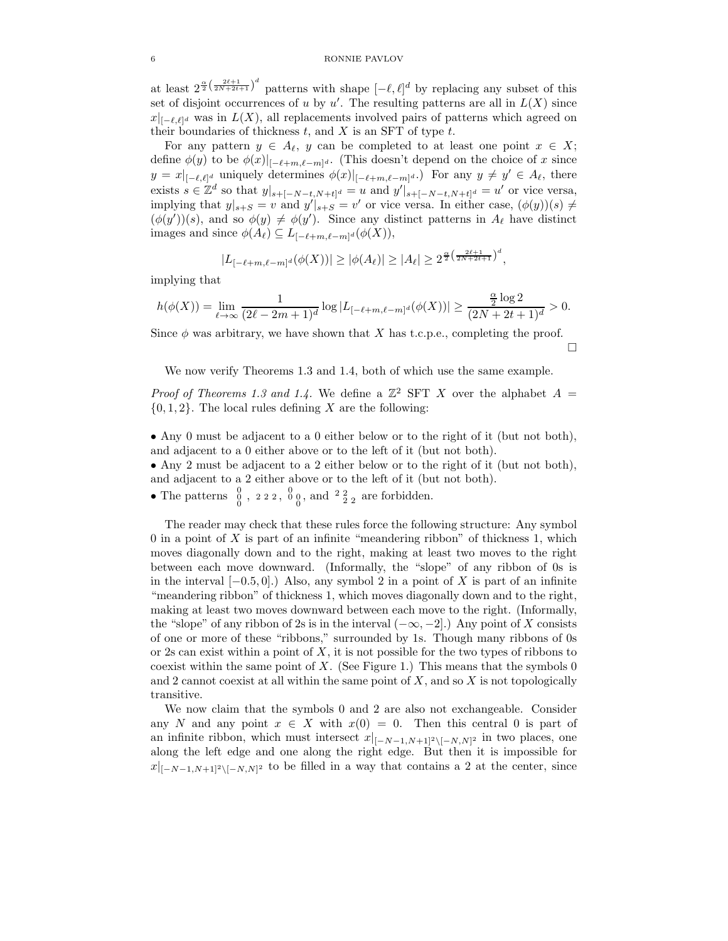at least  $2^{\frac{\alpha}{2}(\frac{2\ell+1}{2N+2\ell+1})^d}$  patterns with shape  $[-\ell, \ell]^d$  by replacing any subset of this set of disjoint occurrences of u by  $u'$ . The resulting patterns are all in  $L(X)$  since  $x|_{[-\ell,\ell]^d}$  was in  $L(X)$ , all replacements involved pairs of patterns which agreed on their boundaries of thickness  $t$ , and  $X$  is an SFT of type  $t$ .

For any pattern  $y \in A_{\ell}$ , y can be completed to at least one point  $x \in X$ ; define  $\phi(y)$  to be  $\phi(x)|_{[-\ell+m,\ell-m]^d}$ . (This doesn't depend on the choice of x since  $y = x|_{[-\ell,\ell]^d}$  uniquely determines  $\phi(x)|_{[-\ell+m,\ell-m]^d}$ .) For any  $y \neq y' \in A_{\ell}$ , there exists  $s \in \mathbb{Z}^d$  so that  $y|_{s+[-N-t,N+t]^d} = u$  and  $y'|_{s+[-N-t,N+t]^d} = u'$  or vice versa, implying that  $y|_{s+S} = v$  and  $y'|_{s+S} = v'$  or vice versa. In either case,  $(\phi(y))(s) \neq$  $(\phi(y'))(s)$ , and so  $\phi(y) \neq \phi(y')$ . Since any distinct patterns in  $A_{\ell}$  have distinct images and since  $\phi(A_{\ell}) \subseteq L_{[-\ell+m,\ell-m]^d}(\phi(X)),$ 

$$
|L_{[-\ell+m,\ell-m]^d}(\phi(X))| \ge |\phi(A_{\ell})| \ge |A_{\ell}| \ge 2^{\frac{\alpha}{2} \left(\frac{2\ell+1}{2N+2\ell+1}\right)^d},
$$

implying that

$$
h(\phi(X)) = \lim_{\ell \to \infty} \frac{1}{(2\ell-2m+1)^d} \log |L_{[-\ell+m,\ell-m]^d}(\phi(X))| \geq \frac{\frac{\alpha}{2} \log 2}{(2N+2t+1)^d} > 0.
$$

Since  $\phi$  was arbitrary, we have shown that X has t.c.p.e., completing the proof.  $\Box$ 

We now verify Theorems 1.3 and 1.4, both of which use the same example.

*Proof of Theorems 1.3 and 1.4.* We define a  $\mathbb{Z}^2$  SFT X over the alphabet  $A =$  $\{0, 1, 2\}$ . The local rules defining X are the following:

• Any 0 must be adjacent to a 0 either below or to the right of it (but not both), and adjacent to a 0 either above or to the left of it (but not both).

• Any 2 must be adjacent to a 2 either below or to the right of it (but not both), and adjacent to a 2 either above or to the left of it (but not both).

• The patterns  $\begin{smallmatrix} 0 & 0 \\ 0 & 0 \end{smallmatrix}$ , 222,  $\begin{smallmatrix} 0 & 0 \\ 0 & 0 \end{smallmatrix}$ , and  $\begin{smallmatrix} 2 & 2 \\ 2 & 2 \end{smallmatrix}$  are forbidden.

The reader may check that these rules force the following structure: Any symbol 0 in a point of  $X$  is part of an infinite "meandering ribbon" of thickness 1, which moves diagonally down and to the right, making at least two moves to the right between each move downward. (Informally, the "slope" of any ribbon of 0s is in the interval  $[-0.5, 0]$ .) Also, any symbol 2 in a point of X is part of an infinite "meandering ribbon" of thickness 1, which moves diagonally down and to the right, making at least two moves downward between each move to the right. (Informally, the "slope" of any ribbon of 2s is in the interval  $(-\infty, -2]$ .) Any point of X consists of one or more of these "ribbons," surrounded by 1s. Though many ribbons of 0s or 2s can exist within a point of  $X$ , it is not possible for the two types of ribbons to coexist within the same point of  $X$ . (See Figure 1.) This means that the symbols 0 and 2 cannot coexist at all within the same point of  $X$ , and so  $X$  is not topologically transitive.

We now claim that the symbols 0 and 2 are also not exchangeable. Consider any N and any point  $x \in X$  with  $x(0) = 0$ . Then this central 0 is part of an infinite ribbon, which must intersect  $x|_{[-N-1,N+1]^2\setminus[-N,N]^2}$  in two places, one along the left edge and one along the right edge. But then it is impossible for  $x|_{[-N-1,N+1]^2\setminus[-N,N]^2}$  to be filled in a way that contains a 2 at the center, since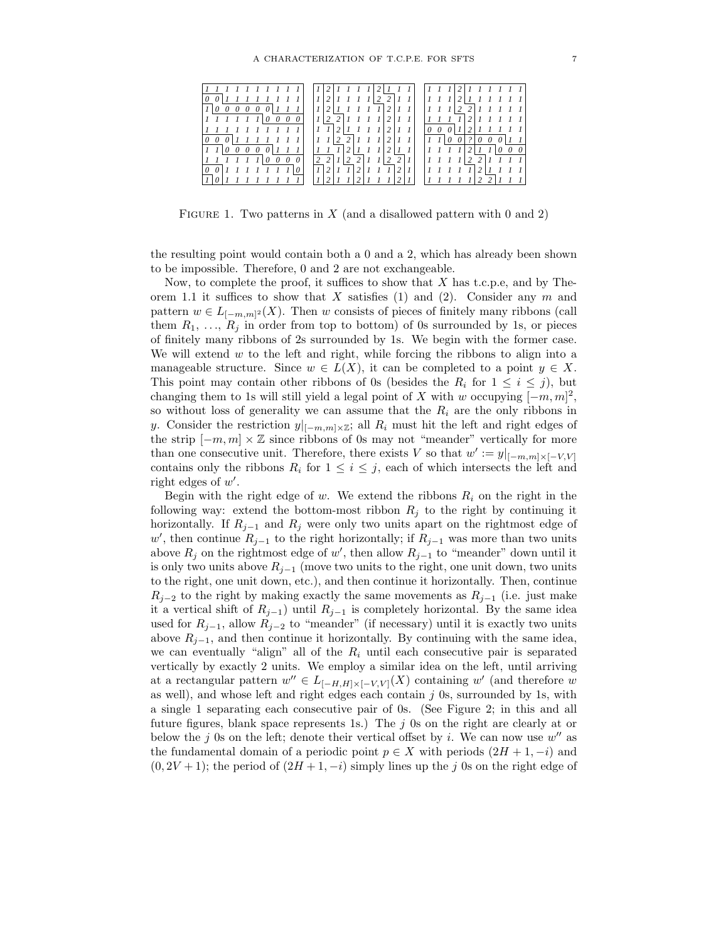

FIGURE 1. Two patterns in  $X$  (and a disallowed pattern with 0 and 2)

the resulting point would contain both a 0 and a 2, which has already been shown to be impossible. Therefore, 0 and 2 are not exchangeable.

Now, to complete the proof, it suffices to show that  $X$  has t.c.p.e, and by Theorem 1.1 it suffices to show that X satisfies (1) and (2). Consider any  $m$  and pattern  $w \in L_{[-m,m]^2}(X)$ . Then w consists of pieces of finitely many ribbons (call them  $R_1, \ldots, R_j$  in order from top to bottom) of 0s surrounded by 1s, or pieces of finitely many ribbons of 2s surrounded by 1s. We begin with the former case. We will extend  $w$  to the left and right, while forcing the ribbons to align into a manageable structure. Since  $w \in L(X)$ , it can be completed to a point  $y \in X$ . This point may contain other ribbons of 0s (besides the  $R_i$  for  $1 \leq i \leq j$ ), but changing them to 1s will still yield a legal point of X with w occupying  $[-m, m]^2$ , so without loss of generality we can assume that the  $R_i$  are the only ribbons in y. Consider the restriction  $y|_{[-m,m]\times\mathbb{Z}}$ ; all  $R_i$  must hit the left and right edges of the strip  $[-m, m] \times \mathbb{Z}$  since ribbons of 0s may not "meander" vertically for more than one consecutive unit. Therefore, there exists V so that  $w' := y|_{[-m,m] \times [-V,V]}$ contains only the ribbons  $R_i$  for  $1 \leq i \leq j$ , each of which intersects the left and right edges of  $w'$ .

Begin with the right edge of w. We extend the ribbons  $R_i$  on the right in the following way: extend the bottom-most ribbon  $R_i$  to the right by continuing it horizontally. If  $R_{j-1}$  and  $R_j$  were only two units apart on the rightmost edge of w', then continue  $R_{j-1}$  to the right horizontally; if  $R_{j-1}$  was more than two units above  $R_j$  on the rightmost edge of w', then allow  $R_{j-1}$  to "meander" down until it is only two units above  $R_{i-1}$  (move two units to the right, one unit down, two units to the right, one unit down, etc.), and then continue it horizontally. Then, continue  $R_{j-2}$  to the right by making exactly the same movements as  $R_{j-1}$  (i.e. just make it a vertical shift of  $R_{i-1}$ ) until  $R_{i-1}$  is completely horizontal. By the same idea used for  $R_{i-1}$ , allow  $R_{i-2}$  to "meander" (if necessary) until it is exactly two units above  $R_{j-1}$ , and then continue it horizontally. By continuing with the same idea, we can eventually "align" all of the  $R_i$  until each consecutive pair is separated vertically by exactly 2 units. We employ a similar idea on the left, until arriving at a rectangular pattern  $w'' \in L_{[-H,H] \times [-V,V]}(X)$  containing w' (and therefore w as well), and whose left and right edges each contain  $j$  0s, surrounded by 1s, with a single 1 separating each consecutive pair of 0s. (See Figure 2; in this and all future figures, blank space represents 1s.) The  $j$  0s on the right are clearly at or below the j 0s on the left; denote their vertical offset by i. We can now use  $w''$  as the fundamental domain of a periodic point  $p \in X$  with periods  $(2H + 1, -i)$  and  $(0, 2V + 1)$ ; the period of  $(2H + 1, -i)$  simply lines up the j 0s on the right edge of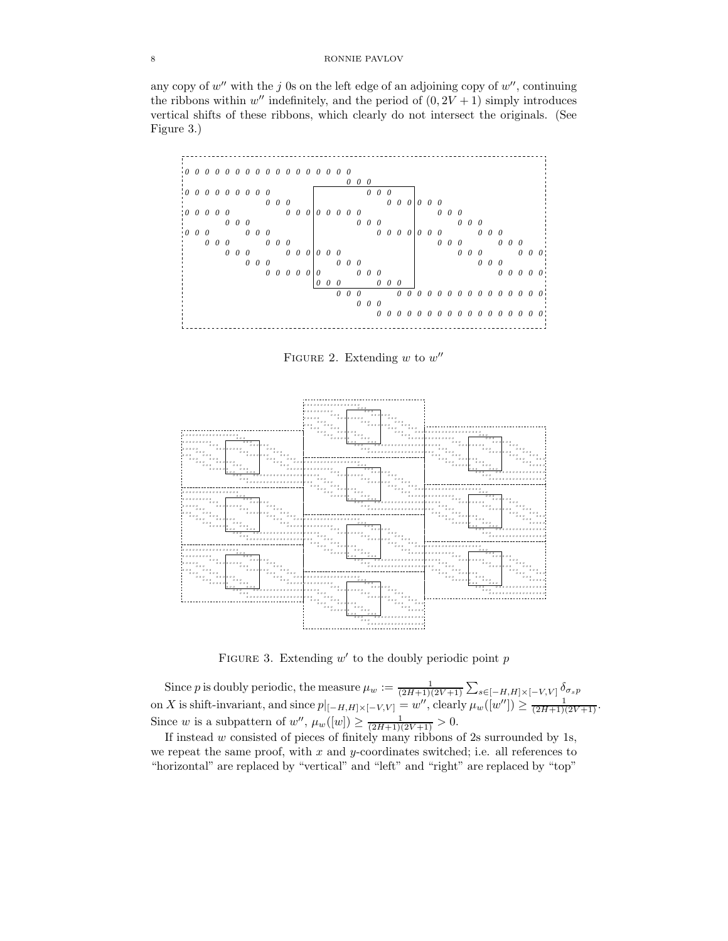## 8 RONNIE PAVLOV

any copy of  $w''$  with the j 0s on the left edge of an adjoining copy of  $w''$ , continuing the ribbons within  $w''$  indefinitely, and the period of  $(0, 2V + 1)$  simply introduces vertical shifts of these ribbons, which clearly do not intersect the originals. (See Figure 3.)



FIGURE 2. Extending  $w$  to  $w''$ 



FIGURE 3. Extending  $w'$  to the doubly periodic point  $p$ 

Since p is doubly periodic, the measure  $\mu_w := \frac{1}{(2H+1)(2V+1)} \sum_{s \in [-H,H] \times [-V,V]} \delta_{\sigma_s p}$ on X is shift-invariant, and since  $p|_{[-H,H] \times [-V,V]} = w''$ , clearly  $\mu_w([w'']) \ge \frac{1}{(2H+1)(2V+1)}$ . Since w is a subpattern of w'',  $\mu_w([w]) \ge \frac{1}{(2H+1)(2V+1)} > 0$ .

If instead  $w$  consisted of pieces of finitely many ribbons of 2s surrounded by 1s, we repeat the same proof, with  $x$  and  $y$ -coordinates switched; i.e. all references to "horizontal" are replaced by "vertical" and "left" and "right" are replaced by "top"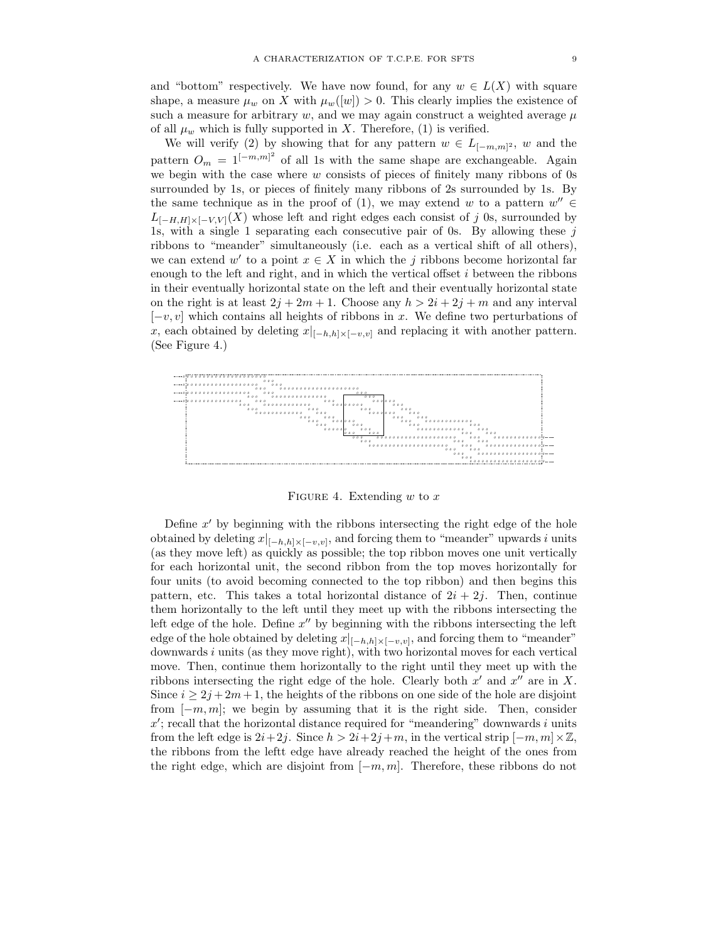and "bottom" respectively. We have now found, for any  $w \in L(X)$  with square shape, a measure  $\mu_w$  on X with  $\mu_w([w]) > 0$ . This clearly implies the existence of such a measure for arbitrary w, and we may again construct a weighted average  $\mu$ of all  $\mu_w$  which is fully supported in X. Therefore, (1) is verified.

We will verify (2) by showing that for any pattern  $w \in L_{[-m,m]^2}$ , w and the pattern  $O_m = 1^{[-m,m]^2}$  of all 1s with the same shape are exchangeable. Again we begin with the case where  $w$  consists of pieces of finitely many ribbons of 0s surrounded by 1s, or pieces of finitely many ribbons of 2s surrounded by 1s. By the same technique as in the proof of (1), we may extend w to a pattern  $w'' \in$  $L_{[-H,H]\times[-V,V]}(X)$  whose left and right edges each consist of j 0s, surrounded by 1s, with a single 1 separating each consecutive pair of 0s. By allowing these  $j$ ribbons to "meander" simultaneously (i.e. each as a vertical shift of all others), we can extend  $w'$  to a point  $x \in X$  in which the j ribbons become horizontal far enough to the left and right, and in which the vertical offset  $i$  between the ribbons in their eventually horizontal state on the left and their eventually horizontal state on the right is at least  $2j + 2m + 1$ . Choose any  $h > 2i + 2j + m$  and any interval  $[-v, v]$  which contains all heights of ribbons in x. We define two perturbations of x, each obtained by deleting  $x|_{[-h,h]\times[-v,v]}$  and replacing it with another pattern. (See Figure 4.)



FIGURE 4. Extending  $w$  to  $x$ 

Define  $x'$  by beginning with the ribbons intersecting the right edge of the hole obtained by deleting  $x|_{[-h,h]\times[-v,v]}$ , and forcing them to "meander" upwards i units (as they move left) as quickly as possible; the top ribbon moves one unit vertically for each horizontal unit, the second ribbon from the top moves horizontally for four units (to avoid becoming connected to the top ribbon) and then begins this pattern, etc. This takes a total horizontal distance of  $2i + 2j$ . Then, continue them horizontally to the left until they meet up with the ribbons intersecting the left edge of the hole. Define  $x''$  by beginning with the ribbons intersecting the left edge of the hole obtained by deleting  $x|_{[-h,h]\times[-v,v]}$ , and forcing them to "meander" downwards  $i$  units (as they move right), with two horizontal moves for each vertical move. Then, continue them horizontally to the right until they meet up with the ribbons intersecting the right edge of the hole. Clearly both  $x'$  and  $x''$  are in X. Since  $i \geq 2j + 2m + 1$ , the heights of the ribbons on one side of the hole are disjoint from  $[-m, m]$ ; we begin by assuming that it is the right side. Then, consider  $x'$ ; recall that the horizontal distance required for "meandering" downwards i units from the left edge is  $2i+2j$ . Since  $h > 2i+2j+m$ , in the vertical strip  $[-m, m] \times \mathbb{Z}$ , the ribbons from the leftt edge have already reached the height of the ones from the right edge, which are disjoint from  $[-m, m]$ . Therefore, these ribbons do not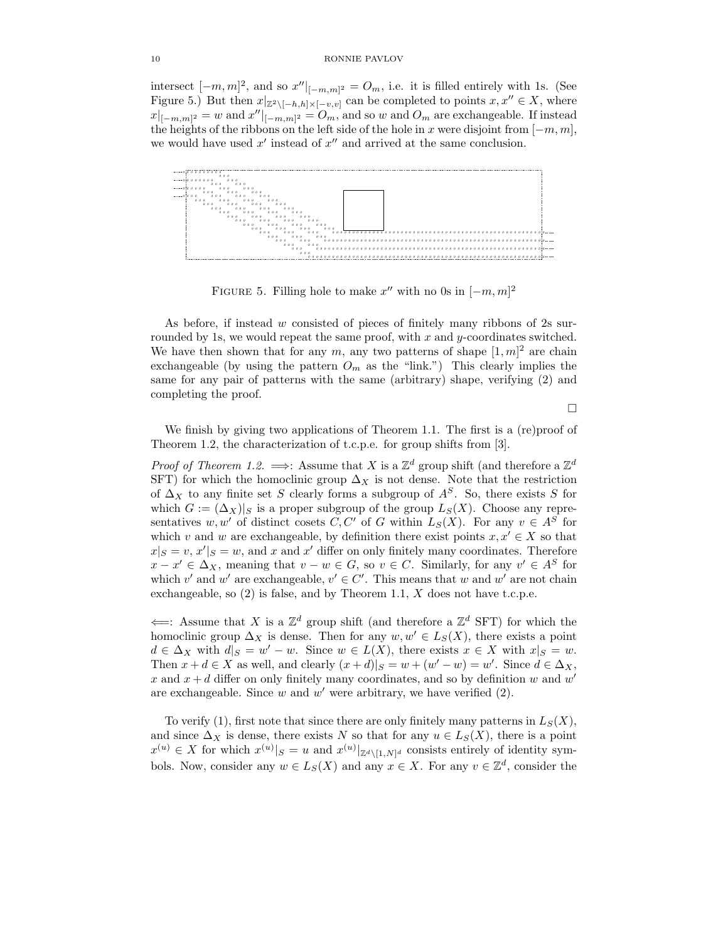intersect  $[-m, m]^2$ , and so  $x''|_{[-m,m]^2} = O_m$ , i.e. it is filled entirely with 1s. (See Figure 5.) But then  $x|_{\mathbb{Z}^2\setminus[-h,h]\times[-v,v]}$  can be completed to points  $x, x'' \in X$ , where  $||x||_{[-m,m]^2} = ||w||_{[-m,m]^2} = ||w||_{[-m,m]^2}$  and so w and  $O_m$  are exchangeable. If instead the heights of the ribbons on the left side of the hole in x were disjoint from  $[-m, m]$ , we would have used  $x'$  instead of  $x''$  and arrived at the same conclusion.



FIGURE 5. Filling hole to make  $x''$  with no 0s in  $[-m, m]^2$ 

As before, if instead w consisted of pieces of finitely many ribbons of 2s surrounded by 1s, we would repeat the same proof, with  $x$  and  $y$ -coordinates switched. We have then shown that for any  $m$ , any two patterns of shape  $[1, m]^2$  are chain exchangeable (by using the pattern  $O_m$  as the "link.") This clearly implies the same for any pair of patterns with the same (arbitrary) shape, verifying (2) and completing the proof.

 $\Box$ 

We finish by giving two applications of Theorem 1.1. The first is a (re)proof of Theorem 1.2, the characterization of t.c.p.e. for group shifts from [3].

*Proof of Theorem 1.2.*  $\implies$ : Assume that X is a  $\mathbb{Z}^d$  group shift (and therefore a  $\mathbb{Z}^d$ SFT) for which the homoclinic group  $\Delta_X$  is not dense. Note that the restriction of  $\Delta_X$  to any finite set S clearly forms a subgroup of  $A^S$ . So, there exists S for which  $G := (\Delta_X)|_S$  is a proper subgroup of the group  $L_S(X)$ . Choose any representatives w, w' of distinct cosets C, C' of G within  $L_S(X)$ . For any  $v \in A^S$  for which v and w are exchangeable, by definition there exist points  $x, x' \in X$  so that  $x|_S = v, x'|_S = w$ , and x and x' differ on only finitely many coordinates. Therefore  $x - x' \in \Delta_X$ , meaning that  $v - w \in G$ , so  $v \in C$ . Similarly, for any  $v' \in A^S$  for which  $v'$  and  $w'$  are exchangeable,  $v' \in C'$ . This means that w and w' are not chain exchangeable, so  $(2)$  is false, and by Theorem 1.1, X does not have t.c.p.e.

 $\Leftarrow$ : Assume that X is a  $\mathbb{Z}^d$  group shift (and therefore a  $\mathbb{Z}^d$  SFT) for which the homoclinic group  $\Delta_X$  is dense. Then for any  $w, w' \in L_S(X)$ , there exists a point  $d \in \Delta_X$  with  $d|_S = w' - w$ . Since  $w \in L(X)$ , there exists  $x \in X$  with  $x|_S = w$ . Then  $x + d \in X$  as well, and clearly  $(x + d)|_S = w + (w' - w) = w'$ . Since  $d \in \Delta_X$ , x and  $x + d$  differ on only finitely many coordinates, and so by definition w and w' are exchangeable. Since  $w$  and  $w'$  were arbitrary, we have verified  $(2)$ .

To verify (1), first note that since there are only finitely many patterns in  $L_S(X)$ , and since  $\Delta_X$  is dense, there exists N so that for any  $u \in L_S(X)$ , there is a point  $x^{(u)} \in X$  for which  $x^{(u)}|_{S} = u$  and  $x^{(u)}|_{\mathbb{Z}^d \setminus [1,N]^d}$  consists entirely of identity symbols. Now, consider any  $w \in L_S(X)$  and any  $x \in X$ . For any  $v \in \mathbb{Z}^d$ , consider the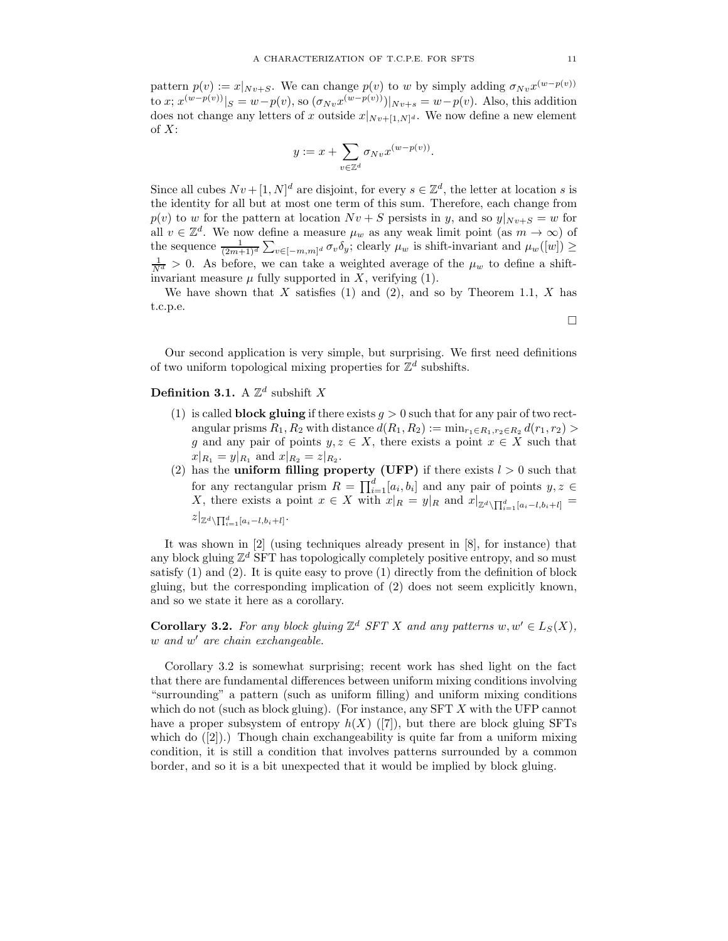pattern  $p(v) := x|_{Nv+S}$ . We can change  $p(v)$  to w by simply adding  $\sigma_{Nv}x^{(w-p(v))}$ to x;  $x^{(w-p(v))}|_{S} = w-p(v)$ , so  $(\sigma_{Nv}x^{(w-p(v))})|_{Nv+s} = w-p(v)$ . Also, this addition does not change any letters of x outside  $x|_{Nv+[1,N]^d}$ . We now define a new element of  $X$ :

$$
y := x + \sum_{v \in \mathbb{Z}^d} \sigma_{Nv} x^{(w - p(v))}.
$$

Since all cubes  $Nv + [1, N]^d$  are disjoint, for every  $s \in \mathbb{Z}^d$ , the letter at location s is the identity for all but at most one term of this sum. Therefore, each change from  $p(v)$  to w for the pattern at location  $Nv + S$  persists in y, and so  $y|_{Nv+S} = w$  for all  $v \in \mathbb{Z}^d$ . We now define a measure  $\mu_w$  as any weak limit point (as  $m \to \infty$ ) of the sequence  $\frac{1}{(2m+1)^d} \sum_{v \in [-m,m]^d} \sigma_v \delta_y$ ; clearly  $\mu_w$  is shift-invariant and  $\mu_w([w]) \ge$  $\frac{1}{N^d} > 0$ . As before, we can take a weighted average of the  $\mu_w$  to define a shiftinvariant measure  $\mu$  fully supported in X, verifying (1).

We have shown that  $X$  satisfies (1) and (2), and so by Theorem 1.1,  $X$  has t.c.p.e.

of two uniform topological mixing properties for  $\mathbb{Z}^d$  subshifts.

Our second application is very simple, but surprising. We first need definitions

# **Definition 3.1.** A  $\mathbb{Z}^d$  subshift X

- (1) is called **block gluing** if there exists  $q > 0$  such that for any pair of two rectangular prisms  $R_1, R_2$  with distance  $d(R_1, R_2) := \min_{r_1 \in R_1, r_2 \in R_2} d(r_1, r_2)$ g and any pair of points  $y, z \in X$ , there exists a point  $x \in X$  such that  $x|_{R_1} = y|_{R_1}$  and  $x|_{R_2} = z|_{R_2}$ .
- (2) has the **uniform filling property (UFP)** if there exists  $l > 0$  such that for any rectangular prism  $R = \prod_{i=1}^{d} [a_i, b_i]$  and any pair of points  $y, z \in$ X, there exists a point  $x \in X$  with  $x|_R = y|_R$  and  $x|_{\mathbb{Z}^d \setminus \prod_{i=1}^d [a_i - l, b_i + l]} =$  $z|_{\mathbb{Z}^d\setminus\prod_{i=1}^d [a_i-l,b_i+l]}$ .

It was shown in [2] (using techniques already present in [8], for instance) that any block gluing  $\mathbb{Z}^d$  SFT has topologically completely positive entropy, and so must satisfy (1) and (2). It is quite easy to prove (1) directly from the definition of block gluing, but the corresponding implication of (2) does not seem explicitly known, and so we state it here as a corollary.

**Corollary 3.2.** For any block gluing  $\mathbb{Z}^d$  SFT X and any patterns  $w, w' \in L_S(X)$ , w and w' are chain exchangeable.

Corollary 3.2 is somewhat surprising; recent work has shed light on the fact that there are fundamental differences between uniform mixing conditions involving "surrounding" a pattern (such as uniform filling) and uniform mixing conditions which do not (such as block gluing). (For instance, any SFT X with the UFP cannot have a proper subsystem of entropy  $h(X)$  ([7]), but there are block gluing SFTs which do  $([2])$ .) Though chain exchangeability is quite far from a uniform mixing condition, it is still a condition that involves patterns surrounded by a common border, and so it is a bit unexpected that it would be implied by block gluing.

$$
\Box
$$